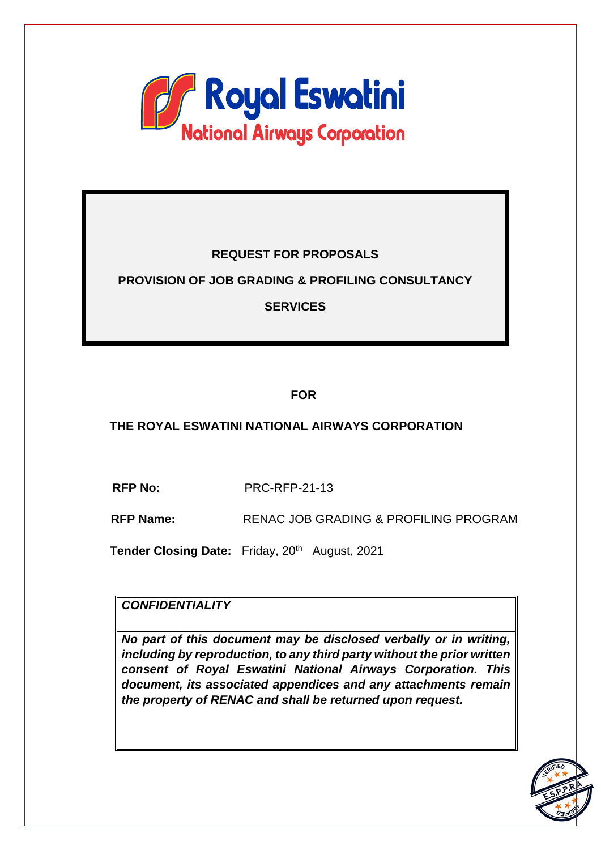

#### **REQUEST FOR PROPOSALS**

## **PROVISION OF JOB GRADING & PROFILING CONSULTANCY**

**SERVICES**

#### **FOR**

## **THE ROYAL ESWATINI NATIONAL AIRWAYS CORPORATION**

**RFP No:** PRC-RFP-21-13

 **RFP Name:** RENAC JOB GRADING & PROFILING PROGRAM

Tender Closing Date: Friday, 20<sup>th</sup> August, 2021

*CONFIDENTIALITY* 

*No part of this document may be disclosed verbally or in writing, including by reproduction, to any third party without the prior written consent of Royal Eswatini National Airways Corporation. This document, its associated appendices and any attachments remain the property of RENAC and shall be returned upon request.*

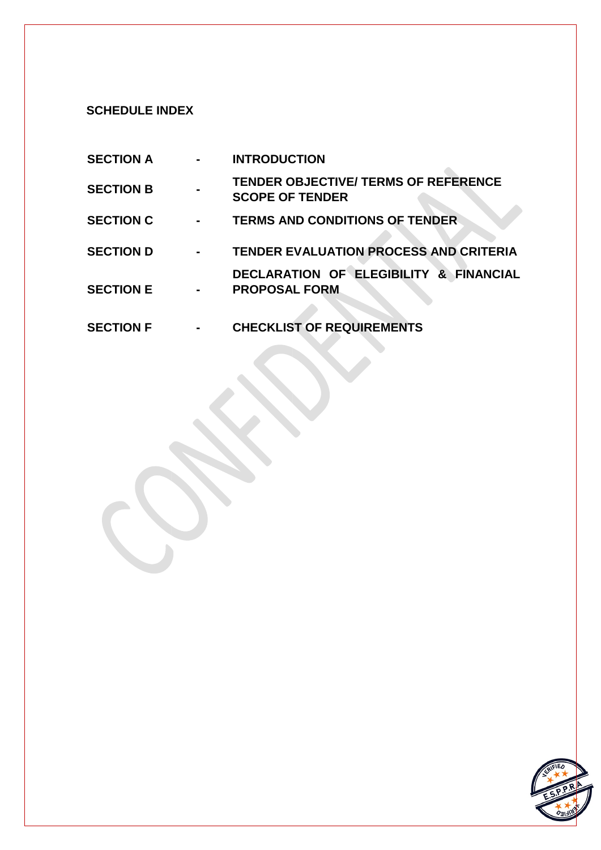## **SCHEDULE INDEX**

| <b>SECTION A</b> | <b>INTRODUCTION</b>                                                   |
|------------------|-----------------------------------------------------------------------|
| <b>SECTION B</b> | <b>TENDER OBJECTIVE/ TERMS OF REFERENCE</b><br><b>SCOPE OF TENDER</b> |
| <b>SECTION C</b> | <b>TERMS AND CONDITIONS OF TENDER</b>                                 |
| <b>SECTION D</b> | <b>TENDER EVALUATION PROCESS AND CRITERIA</b>                         |
| <b>SECTION E</b> | DECLARATION OF ELEGIBILITY & FINANCIAL<br><b>PROPOSAL FORM</b>        |
| <b>SECTION F</b> | <b>CHECKLIST OF REQUIREMENTS</b>                                      |

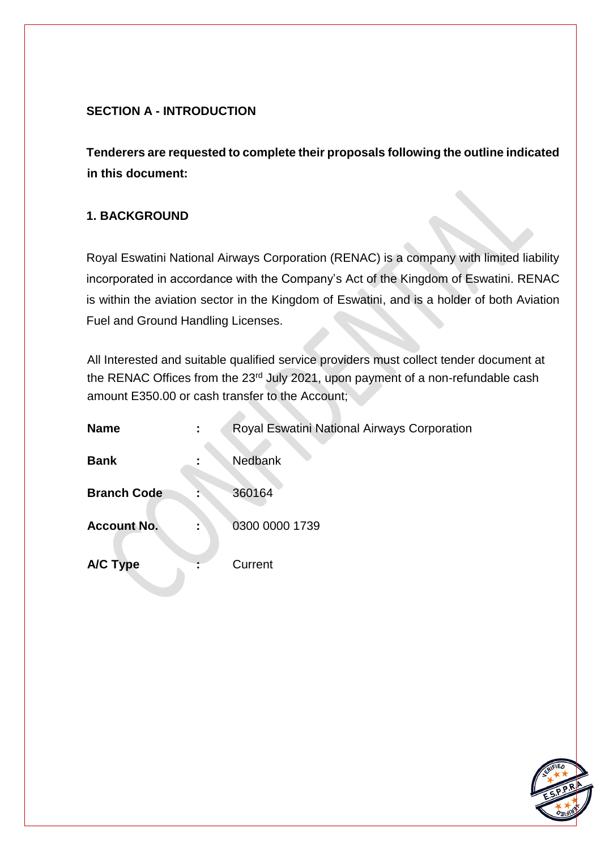## **SECTION A - INTRODUCTION**

**Tenderers are requested to complete their proposals following the outline indicated in this document:** 

### **1. BACKGROUND**

Royal Eswatini National Airways Corporation (RENAC) is a company with limited liability incorporated in accordance with the Company's Act of the Kingdom of Eswatini. RENAC is within the aviation sector in the Kingdom of Eswatini, and is a holder of both Aviation Fuel and Ground Handling Licenses.

All Interested and suitable qualified service providers must collect tender document at the RENAC Offices from the 23<sup>rd</sup> July 2021, upon payment of a non-refundable cash amount E350.00 or cash transfer to the Account;

| <b>Name</b>        | Royal Eswatini National Airways Corporation |
|--------------------|---------------------------------------------|
| <b>Bank</b>        | <b>Nedbank</b>                              |
| <b>Branch Code</b> | 360164                                      |
| <b>Account No.</b> | 0300 0000 1739                              |
| A/C Type           | Current                                     |

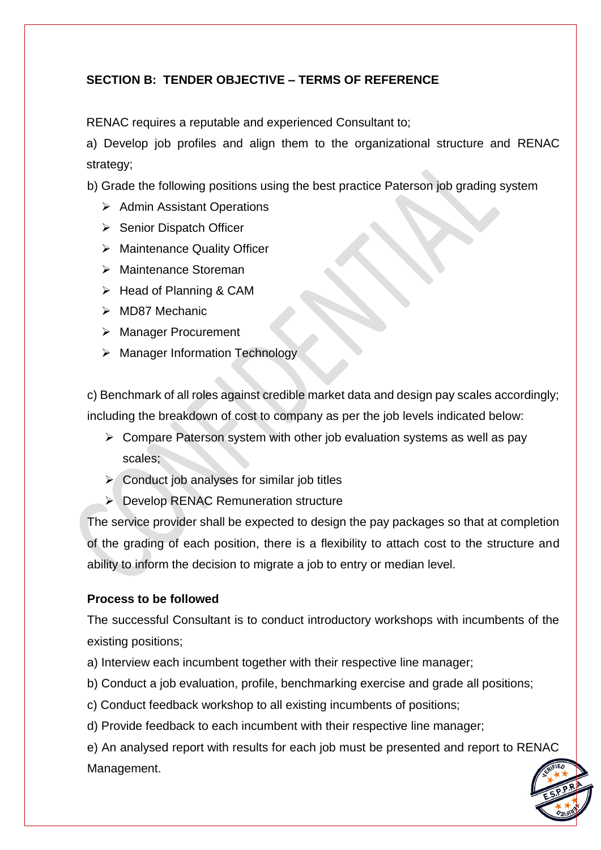## **SECTION B: TENDER OBJECTIVE – TERMS OF REFERENCE**

RENAC requires a reputable and experienced Consultant to;

a) Develop job profiles and align them to the organizational structure and RENAC strategy;

- b) Grade the following positions using the best practice Paterson job grading system
	- $\triangleright$  Admin Assistant Operations
	- $\triangleright$  Senior Dispatch Officer
	- **▶ Maintenance Quality Officer**
	- **▶ Maintenance Storeman**
	- $\triangleright$  Head of Planning & CAM
	- > MD87 Mechanic
	- > Manager Procurement
	- > Manager Information Technology

c) Benchmark of all roles against credible market data and design pay scales accordingly; including the breakdown of cost to company as per the job levels indicated below:

- $\triangleright$  Compare Paterson system with other job evaluation systems as well as pay scales;
- $\triangleright$  Conduct job analyses for similar job titles
- Develop RENAC Remuneration structure

The service provider shall be expected to design the pay packages so that at completion of the grading of each position, there is a flexibility to attach cost to the structure and ability to inform the decision to migrate a job to entry or median level.

#### **Process to be followed**

The successful Consultant is to conduct introductory workshops with incumbents of the existing positions;

- a) Interview each incumbent together with their respective line manager;
- b) Conduct a job evaluation, profile, benchmarking exercise and grade all positions;
- c) Conduct feedback workshop to all existing incumbents of positions;
- d) Provide feedback to each incumbent with their respective line manager;

e) An analysed report with results for each job must be presented and report to RENAC Management.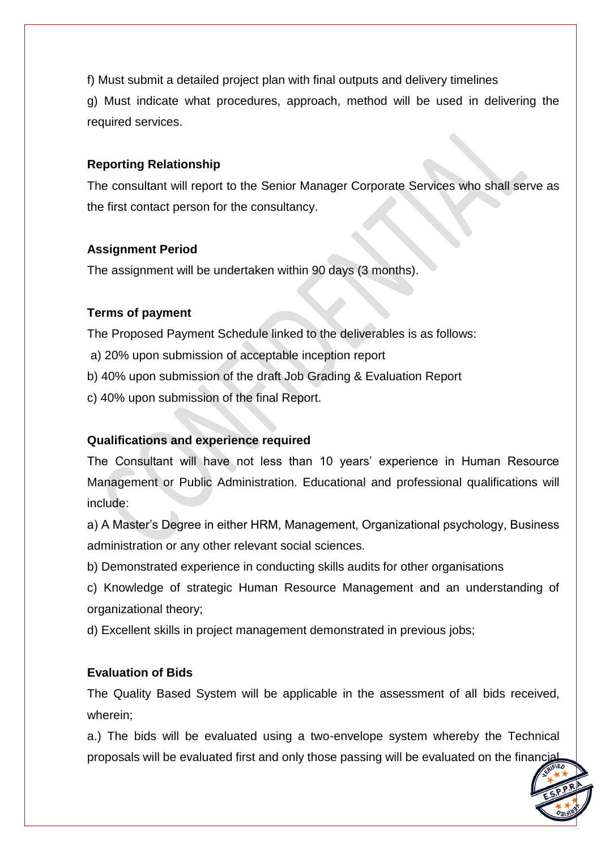f) Must submit a detailed project plan with final outputs and delivery timelines

g) Must indicate what procedures, approach, method will be used in delivering the required services.

### **Reporting Relationship**

The consultant will report to the Senior Manager Corporate Services who shall serve as the first contact person for the consultancy.

## **Assignment Period**

The assignment will be undertaken within 90 days (3 months).

## **Terms of payment**

The Proposed Payment Schedule linked to the deliverables is as follows:

- a) 20% upon submission of acceptable inception report
- b) 40% upon submission of the draft Job Grading & Evaluation Report
- c) 40% upon submission of the final Report.

## **Qualifications and experience required**

The Consultant will have not less than 10 years' experience in Human Resource Management or Public Administration. Educational and professional qualifications will include:

a) A Master's Degree in either HRM, Management, Organizational psychology, Business administration or any other relevant social sciences.

b) Demonstrated experience in conducting skills audits for other organisations

c) Knowledge of strategic Human Resource Management and an understanding of organizational theory;

d) Excellent skills in project management demonstrated in previous jobs;

## **Evaluation of Bids**

The Quality Based System will be applicable in the assessment of all bids received, wherein;

a.) The bids will be evaluated using a two-envelope system whereby the Technical proposals will be evaluated first and only those passing will be evaluated on the financial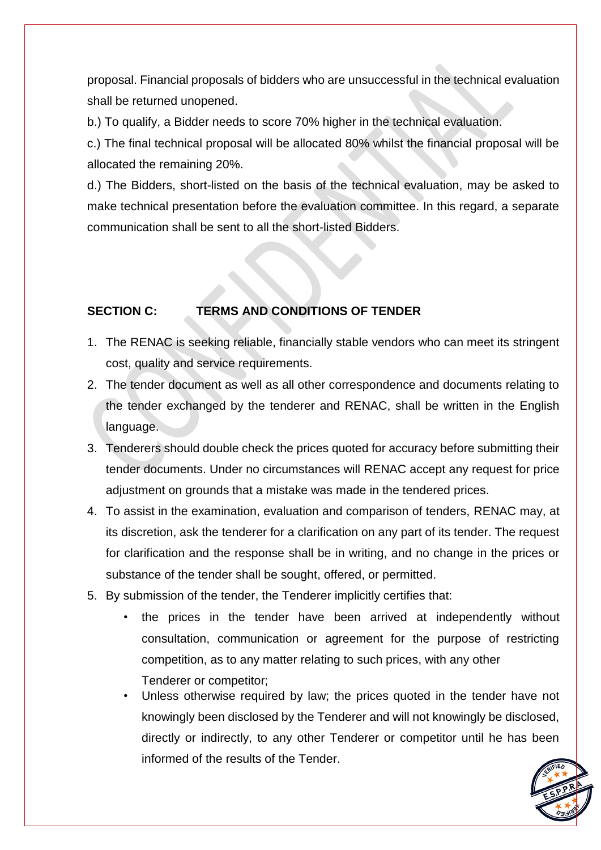proposal. Financial proposals of bidders who are unsuccessful in the technical evaluation shall be returned unopened.

b.) To qualify, a Bidder needs to score 70% higher in the technical evaluation.

c.) The final technical proposal will be allocated 80% whilst the financial proposal will be allocated the remaining 20%.

d.) The Bidders, short-listed on the basis of the technical evaluation, may be asked to make technical presentation before the evaluation committee. In this regard, a separate communication shall be sent to all the short-listed Bidders.

## **SECTION C: TERMS AND CONDITIONS OF TENDER**

- 1. The RENAC is seeking reliable, financially stable vendors who can meet its stringent cost, quality and service requirements.
- 2. The tender document as well as all other correspondence and documents relating to the tender exchanged by the tenderer and RENAC, shall be written in the English language.
- 3. Tenderers should double check the prices quoted for accuracy before submitting their tender documents. Under no circumstances will RENAC accept any request for price adjustment on grounds that a mistake was made in the tendered prices.
- 4. To assist in the examination, evaluation and comparison of tenders, RENAC may, at its discretion, ask the tenderer for a clarification on any part of its tender. The request for clarification and the response shall be in writing, and no change in the prices or substance of the tender shall be sought, offered, or permitted.
- 5. By submission of the tender, the Tenderer implicitly certifies that:
	- the prices in the tender have been arrived at independently without consultation, communication or agreement for the purpose of restricting competition, as to any matter relating to such prices, with any other Tenderer or competitor;
	- Unless otherwise required by law; the prices quoted in the tender have not knowingly been disclosed by the Tenderer and will not knowingly be disclosed, directly or indirectly, to any other Tenderer or competitor until he has been informed of the results of the Tender.

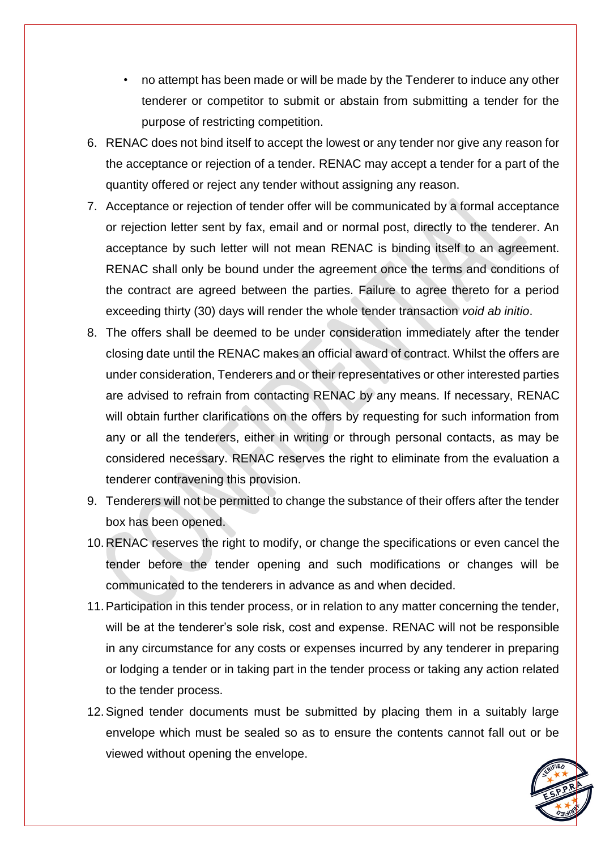- no attempt has been made or will be made by the Tenderer to induce any other tenderer or competitor to submit or abstain from submitting a tender for the purpose of restricting competition.
- 6. RENAC does not bind itself to accept the lowest or any tender nor give any reason for the acceptance or rejection of a tender. RENAC may accept a tender for a part of the quantity offered or reject any tender without assigning any reason.
- 7. Acceptance or rejection of tender offer will be communicated by a formal acceptance or rejection letter sent by fax, email and or normal post, directly to the tenderer. An acceptance by such letter will not mean RENAC is binding itself to an agreement. RENAC shall only be bound under the agreement once the terms and conditions of the contract are agreed between the parties. Failure to agree thereto for a period exceeding thirty (30) days will render the whole tender transaction *void ab initio*.
- 8. The offers shall be deemed to be under consideration immediately after the tender closing date until the RENAC makes an official award of contract. Whilst the offers are under consideration, Tenderers and or their representatives or other interested parties are advised to refrain from contacting RENAC by any means. If necessary, RENAC will obtain further clarifications on the offers by requesting for such information from any or all the tenderers, either in writing or through personal contacts, as may be considered necessary. RENAC reserves the right to eliminate from the evaluation a tenderer contravening this provision.
- 9. Tenderers will not be permitted to change the substance of their offers after the tender box has been opened.
- 10.RENAC reserves the right to modify, or change the specifications or even cancel the tender before the tender opening and such modifications or changes will be communicated to the tenderers in advance as and when decided.
- 11.Participation in this tender process, or in relation to any matter concerning the tender, will be at the tenderer's sole risk, cost and expense. RENAC will not be responsible in any circumstance for any costs or expenses incurred by any tenderer in preparing or lodging a tender or in taking part in the tender process or taking any action related to the tender process.
- 12.Signed tender documents must be submitted by placing them in a suitably large envelope which must be sealed so as to ensure the contents cannot fall out or be viewed without opening the envelope.

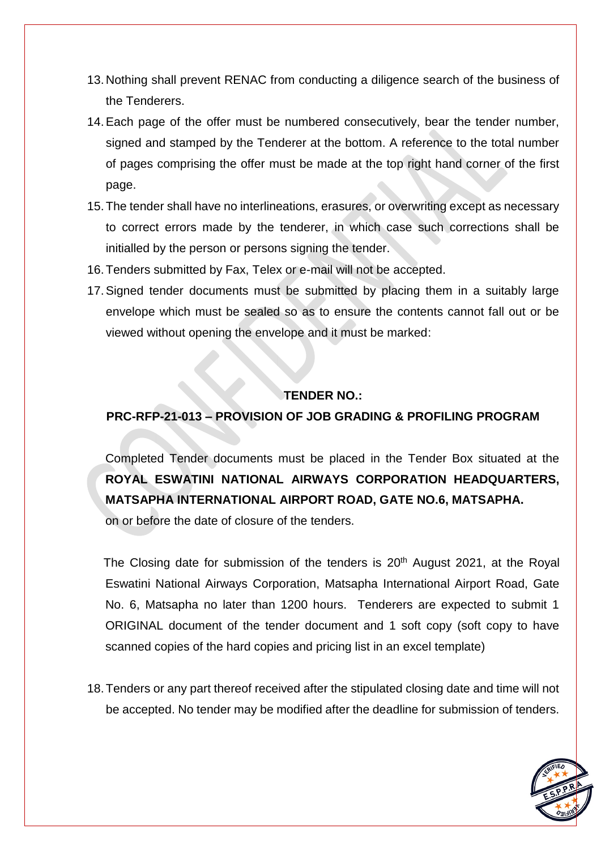- 13.Nothing shall prevent RENAC from conducting a diligence search of the business of the Tenderers.
- 14.Each page of the offer must be numbered consecutively, bear the tender number, signed and stamped by the Tenderer at the bottom. A reference to the total number of pages comprising the offer must be made at the top right hand corner of the first page.
- 15.The tender shall have no interlineations, erasures, or overwriting except as necessary to correct errors made by the tenderer, in which case such corrections shall be initialled by the person or persons signing the tender.
- 16.Tenders submitted by Fax, Telex or e-mail will not be accepted.
- 17.Signed tender documents must be submitted by placing them in a suitably large envelope which must be sealed so as to ensure the contents cannot fall out or be viewed without opening the envelope and it must be marked:

#### **TENDER NO.:**

#### **PRC-RFP-21-013 – PROVISION OF JOB GRADING & PROFILING PROGRAM**

Completed Tender documents must be placed in the Tender Box situated at the **ROYAL ESWATINI NATIONAL AIRWAYS CORPORATION HEADQUARTERS, MATSAPHA INTERNATIONAL AIRPORT ROAD, GATE NO.6, MATSAPHA.**

on or before the date of closure of the tenders.

The Closing date for submission of the tenders is  $20<sup>th</sup>$  August 2021, at the Royal Eswatini National Airways Corporation, Matsapha International Airport Road, Gate No. 6, Matsapha no later than 1200 hours. Tenderers are expected to submit 1 ORIGINAL document of the tender document and 1 soft copy (soft copy to have scanned copies of the hard copies and pricing list in an excel template)

18.Tenders or any part thereof received after the stipulated closing date and time will not be accepted. No tender may be modified after the deadline for submission of tenders.

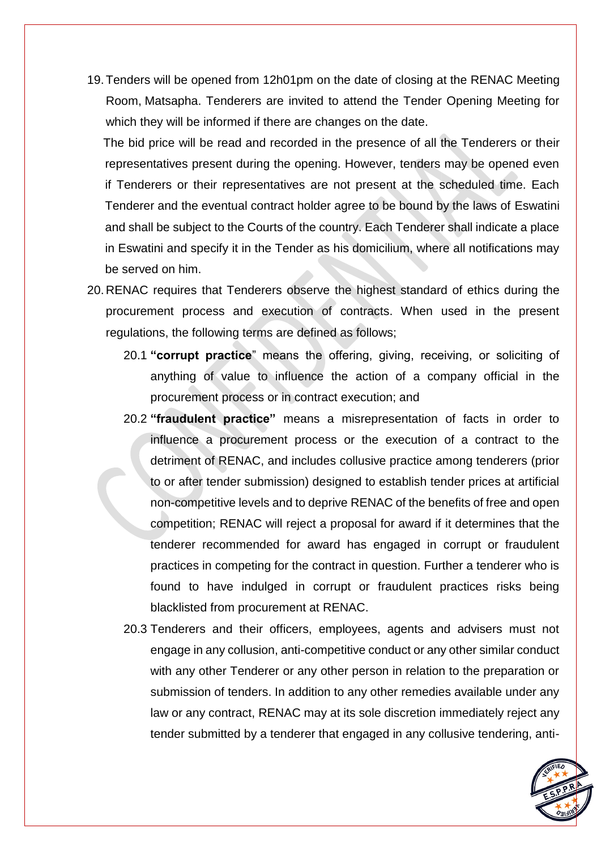19.Tenders will be opened from 12h01pm on the date of closing at the RENAC Meeting Room, Matsapha. Tenderers are invited to attend the Tender Opening Meeting for which they will be informed if there are changes on the date.

 The bid price will be read and recorded in the presence of all the Tenderers or their representatives present during the opening. However, tenders may be opened even if Tenderers or their representatives are not present at the scheduled time. Each Tenderer and the eventual contract holder agree to be bound by the laws of Eswatini and shall be subject to the Courts of the country. Each Tenderer shall indicate a place in Eswatini and specify it in the Tender as his domicilium, where all notifications may be served on him.

- 20.RENAC requires that Tenderers observe the highest standard of ethics during the procurement process and execution of contracts. When used in the present regulations, the following terms are defined as follows;
	- 20.1 **"corrupt practice**" means the offering, giving, receiving, or soliciting of anything of value to influence the action of a company official in the procurement process or in contract execution; and
	- 20.2 **"fraudulent practice"** means a misrepresentation of facts in order to influence a procurement process or the execution of a contract to the detriment of RENAC, and includes collusive practice among tenderers (prior to or after tender submission) designed to establish tender prices at artificial non-competitive levels and to deprive RENAC of the benefits of free and open competition; RENAC will reject a proposal for award if it determines that the tenderer recommended for award has engaged in corrupt or fraudulent practices in competing for the contract in question. Further a tenderer who is found to have indulged in corrupt or fraudulent practices risks being blacklisted from procurement at RENAC.
	- 20.3 Tenderers and their officers, employees, agents and advisers must not engage in any collusion, anti-competitive conduct or any other similar conduct with any other Tenderer or any other person in relation to the preparation or submission of tenders. In addition to any other remedies available under any law or any contract, RENAC may at its sole discretion immediately reject any tender submitted by a tenderer that engaged in any collusive tendering, anti-

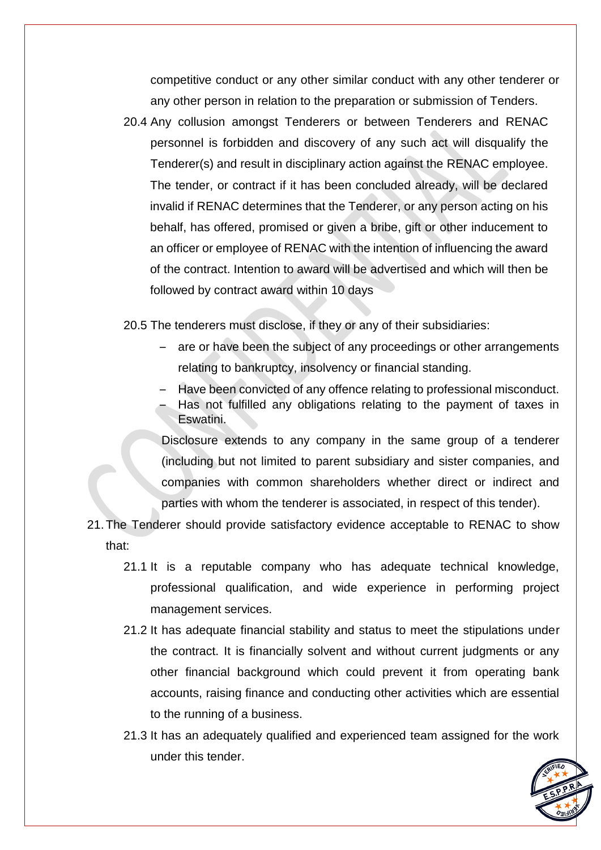competitive conduct or any other similar conduct with any other tenderer or any other person in relation to the preparation or submission of Tenders.

20.4 Any collusion amongst Tenderers or between Tenderers and RENAC personnel is forbidden and discovery of any such act will disqualify the Tenderer(s) and result in disciplinary action against the RENAC employee. The tender, or contract if it has been concluded already, will be declared invalid if RENAC determines that the Tenderer, or any person acting on his behalf, has offered, promised or given a bribe, gift or other inducement to an officer or employee of RENAC with the intention of influencing the award of the contract. Intention to award will be advertised and which will then be followed by contract award within 10 days

20.5 The tenderers must disclose, if they or any of their subsidiaries:

- are or have been the subject of any proceedings or other arrangements relating to bankruptcy, insolvency or financial standing.
- Have been convicted of any offence relating to professional misconduct. – Has not fulfilled any obligations relating to the payment of taxes in Eswatini.

Disclosure extends to any company in the same group of a tenderer (including but not limited to parent subsidiary and sister companies, and companies with common shareholders whether direct or indirect and parties with whom the tenderer is associated, in respect of this tender).

- 21.The Tenderer should provide satisfactory evidence acceptable to RENAC to show that:
	- 21.1 It is a reputable company who has adequate technical knowledge, professional qualification, and wide experience in performing project management services.
	- 21.2 It has adequate financial stability and status to meet the stipulations under the contract. It is financially solvent and without current judgments or any other financial background which could prevent it from operating bank accounts, raising finance and conducting other activities which are essential to the running of a business.
	- 21.3 It has an adequately qualified and experienced team assigned for the work under this tender.

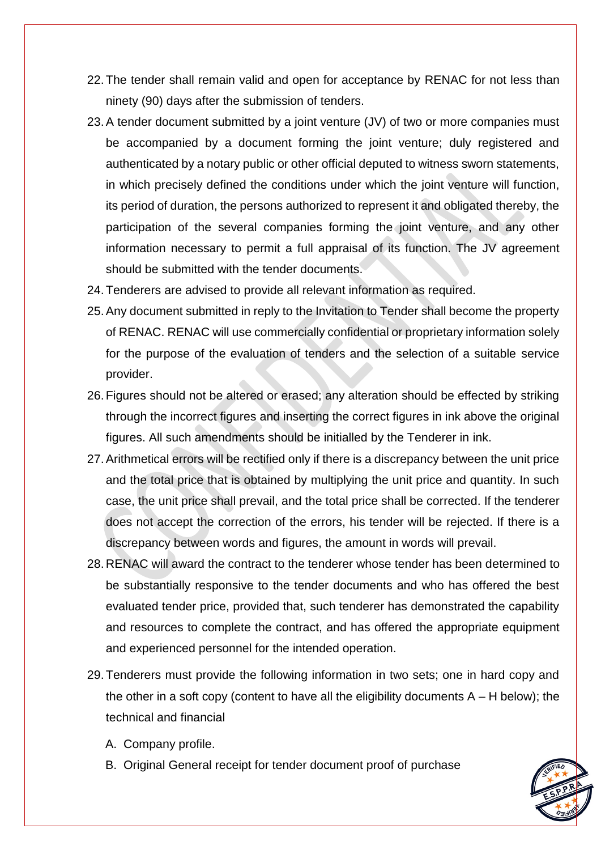- 22.The tender shall remain valid and open for acceptance by RENAC for not less than ninety (90) days after the submission of tenders.
- 23.A tender document submitted by a joint venture (JV) of two or more companies must be accompanied by a document forming the joint venture; duly registered and authenticated by a notary public or other official deputed to witness sworn statements, in which precisely defined the conditions under which the joint venture will function, its period of duration, the persons authorized to represent it and obligated thereby, the participation of the several companies forming the joint venture, and any other information necessary to permit a full appraisal of its function. The JV agreement should be submitted with the tender documents.
- 24.Tenderers are advised to provide all relevant information as required.
- 25.Any document submitted in reply to the Invitation to Tender shall become the property of RENAC. RENAC will use commercially confidential or proprietary information solely for the purpose of the evaluation of tenders and the selection of a suitable service provider.
- 26.Figures should not be altered or erased; any alteration should be effected by striking through the incorrect figures and inserting the correct figures in ink above the original figures. All such amendments should be initialled by the Tenderer in ink.
- 27.Arithmetical errors will be rectified only if there is a discrepancy between the unit price and the total price that is obtained by multiplying the unit price and quantity. In such case, the unit price shall prevail, and the total price shall be corrected. If the tenderer does not accept the correction of the errors, his tender will be rejected. If there is a discrepancy between words and figures, the amount in words will prevail.
- 28.RENAC will award the contract to the tenderer whose tender has been determined to be substantially responsive to the tender documents and who has offered the best evaluated tender price, provided that, such tenderer has demonstrated the capability and resources to complete the contract, and has offered the appropriate equipment and experienced personnel for the intended operation.
- 29.Tenderers must provide the following information in two sets; one in hard copy and the other in a soft copy (content to have all the eligibility documents  $A - H$  below); the technical and financial
	- A. Company profile.
	- B. Original General receipt for tender document proof of purchase

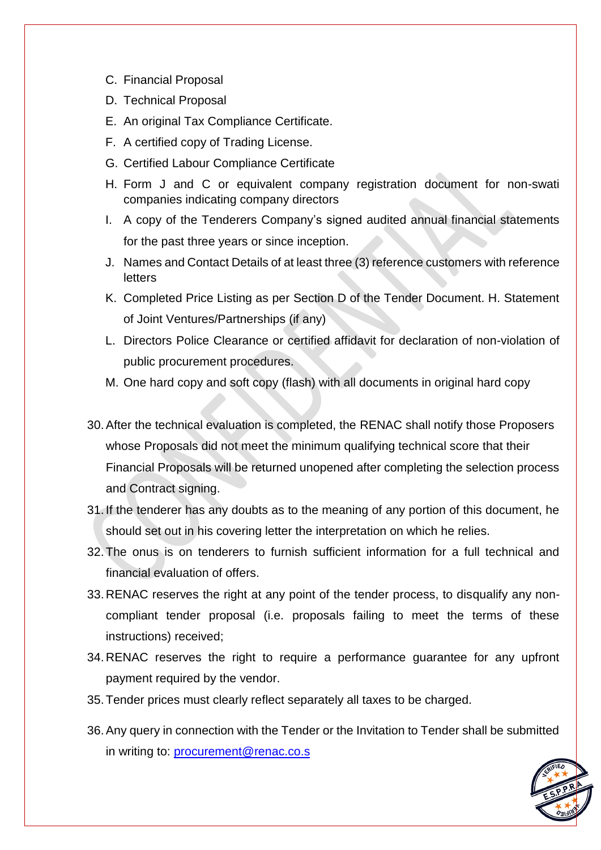- C. Financial Proposal
- D. Technical Proposal
- E. An original Tax Compliance Certificate.
- F. A certified copy of Trading License.
- G. Certified Labour Compliance Certificate
- H. Form J and C or equivalent company registration document for non-swati companies indicating company directors
- I. A copy of the Tenderers Company's signed audited annual financial statements for the past three years or since inception.
- J. Names and Contact Details of at least three (3) reference customers with reference letters
- K. Completed Price Listing as per Section D of the Tender Document. H. Statement of Joint Ventures/Partnerships (if any)
- L. Directors Police Clearance or certified affidavit for declaration of non-violation of public procurement procedures.
- M. One hard copy and soft copy (flash) with all documents in original hard copy
- 30.After the technical evaluation is completed, the RENAC shall notify those Proposers whose Proposals did not meet the minimum qualifying technical score that their Financial Proposals will be returned unopened after completing the selection process and Contract signing.
- 31. If the tenderer has any doubts as to the meaning of any portion of this document, he should set out in his covering letter the interpretation on which he relies.
- 32.The onus is on tenderers to furnish sufficient information for a full technical and financial evaluation of offers.
- 33.RENAC reserves the right at any point of the tender process, to disqualify any noncompliant tender proposal (i.e. proposals failing to meet the terms of these instructions) received;
- 34.RENAC reserves the right to require a performance guarantee for any upfront payment required by the vendor.
- 35.Tender prices must clearly reflect separately all taxes to be charged.
- 36.Any query in connection with the Tender or the Invitation to Tender shall be submitted in writing to: procurement@renac.co.s

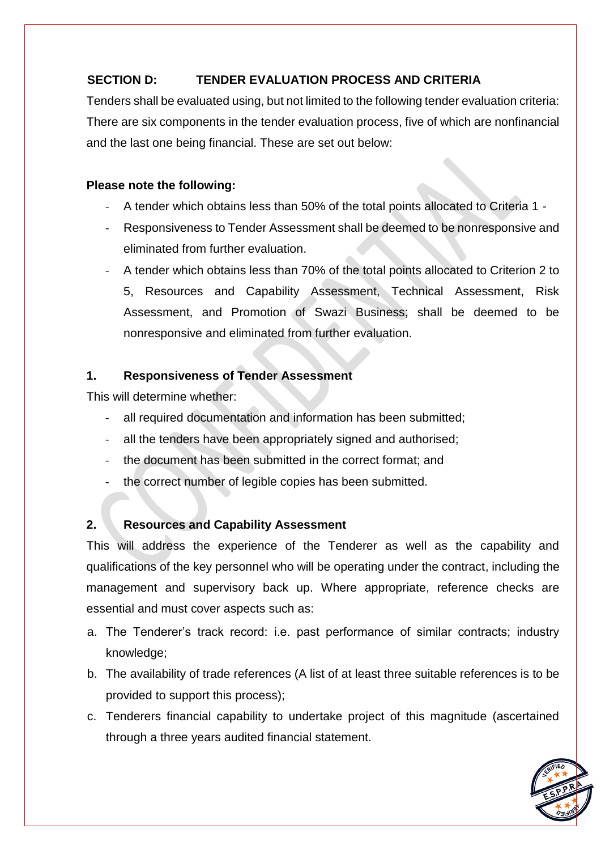## **SECTION D: TENDER EVALUATION PROCESS AND CRITERIA**

Tenders shall be evaluated using, but not limited to the following tender evaluation criteria: There are six components in the tender evaluation process, five of which are nonfinancial and the last one being financial. These are set out below:

### **Please note the following:**

- A tender which obtains less than 50% of the total points allocated to Criteria 1 -
- Responsiveness to Tender Assessment shall be deemed to be nonresponsive and eliminated from further evaluation.
- A tender which obtains less than 70% of the total points allocated to Criterion 2 to 5, Resources and Capability Assessment, Technical Assessment, Risk Assessment, and Promotion of Swazi Business; shall be deemed to be nonresponsive and eliminated from further evaluation.

## **1. Responsiveness of Tender Assessment**

This will determine whether:

- all required documentation and information has been submitted;
- all the tenders have been appropriately signed and authorised;
- the document has been submitted in the correct format; and
- the correct number of legible copies has been submitted.

# **2. Resources and Capability Assessment**

This will address the experience of the Tenderer as well as the capability and qualifications of the key personnel who will be operating under the contract, including the management and supervisory back up. Where appropriate, reference checks are essential and must cover aspects such as:

- a. The Tenderer's track record: i.e. past performance of similar contracts; industry knowledge;
- b. The availability of trade references (A list of at least three suitable references is to be provided to support this process);
- c. Tenderers financial capability to undertake project of this magnitude (ascertained through a three years audited financial statement.

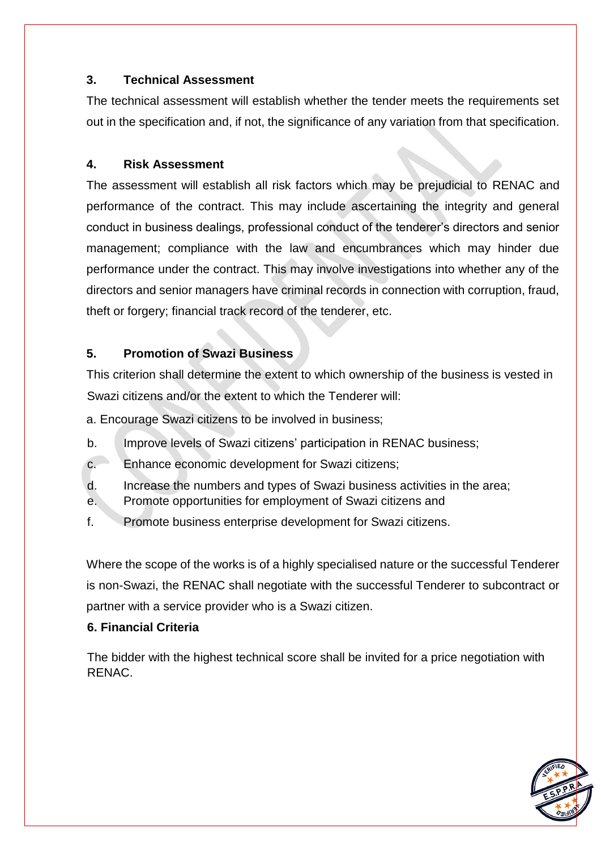### **3. Technical Assessment**

The technical assessment will establish whether the tender meets the requirements set out in the specification and, if not, the significance of any variation from that specification.

### **4. Risk Assessment**

The assessment will establish all risk factors which may be prejudicial to RENAC and performance of the contract. This may include ascertaining the integrity and general conduct in business dealings, professional conduct of the tenderer's directors and senior management; compliance with the law and encumbrances which may hinder due performance under the contract. This may involve investigations into whether any of the directors and senior managers have criminal records in connection with corruption, fraud, theft or forgery; financial track record of the tenderer, etc.

## **5. Promotion of Swazi Business**

This criterion shall determine the extent to which ownership of the business is vested in Swazi citizens and/or the extent to which the Tenderer will:

a. Encourage Swazi citizens to be involved in business;

- b. Improve levels of Swazi citizens' participation in RENAC business;
- c. Enhance economic development for Swazi citizens;
- d. Increase the numbers and types of Swazi business activities in the area;
- e. Promote opportunities for employment of Swazi citizens and
- f. Promote business enterprise development for Swazi citizens.

Where the scope of the works is of a highly specialised nature or the successful Tenderer is non-Swazi, the RENAC shall negotiate with the successful Tenderer to subcontract or partner with a service provider who is a Swazi citizen.

#### **6. Financial Criteria**

The bidder with the highest technical score shall be invited for a price negotiation with RENAC.

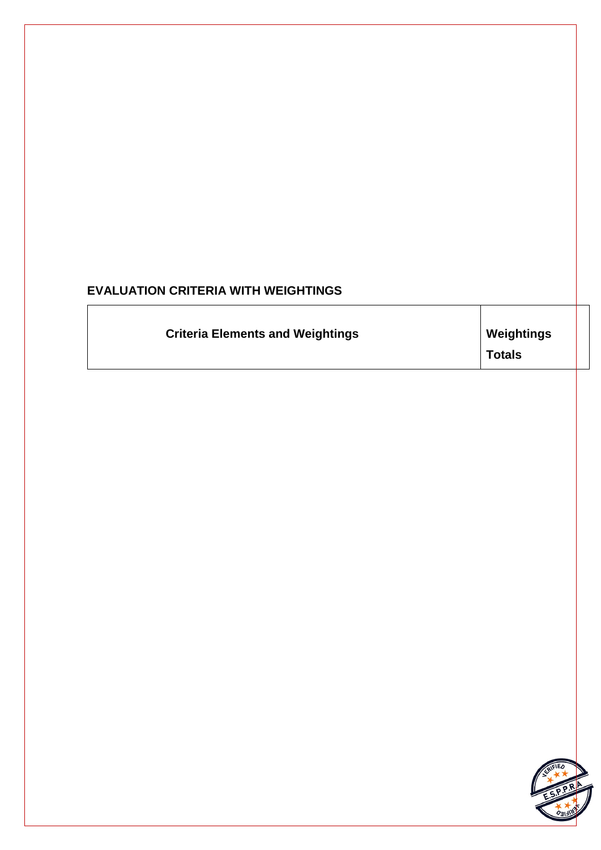# **EVALUATION CRITERIA WITH WEIGHTINGS**

 $\overline{\Gamma}$ 

| <b>Criteria Elements and Weightings</b> | <b>Weightings</b> |  |
|-----------------------------------------|-------------------|--|
|                                         | <b>Totals</b>     |  |

Τ

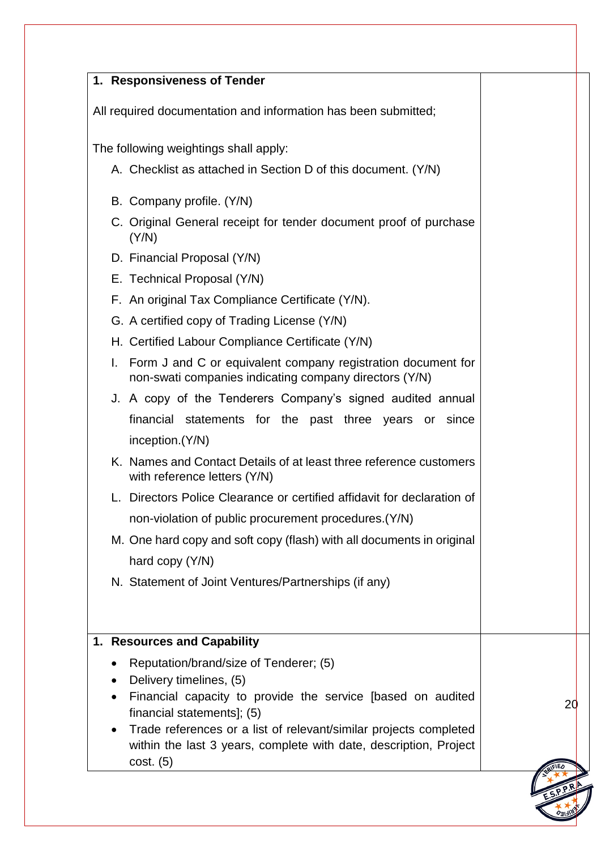| 1. Responsiveness of Tender                                                                                                                         |    |
|-----------------------------------------------------------------------------------------------------------------------------------------------------|----|
| All required documentation and information has been submitted;                                                                                      |    |
| The following weightings shall apply:                                                                                                               |    |
| A. Checklist as attached in Section D of this document. (Y/N)                                                                                       |    |
| B. Company profile. (Y/N)                                                                                                                           |    |
| C. Original General receipt for tender document proof of purchase<br>(Y/N)                                                                          |    |
| D. Financial Proposal (Y/N)                                                                                                                         |    |
| E. Technical Proposal (Y/N)                                                                                                                         |    |
| F. An original Tax Compliance Certificate (Y/N).                                                                                                    |    |
| G. A certified copy of Trading License (Y/N)                                                                                                        |    |
| H. Certified Labour Compliance Certificate (Y/N)                                                                                                    |    |
| I. Form J and C or equivalent company registration document for<br>non-swati companies indicating company directors (Y/N)                           |    |
| J. A copy of the Tenderers Company's signed audited annual                                                                                          |    |
| financial statements for the past three years or since                                                                                              |    |
| inception. $(Y/N)$                                                                                                                                  |    |
| K. Names and Contact Details of at least three reference customers<br>with reference letters (Y/N)                                                  |    |
| L. Directors Police Clearance or certified affidavit for declaration of                                                                             |    |
| non-violation of public procurement procedures. (Y/N)                                                                                               |    |
| M. One hard copy and soft copy (flash) with all documents in original<br>hard copy (Y/N)                                                            |    |
| N. Statement of Joint Ventures/Partnerships (if any)                                                                                                |    |
| 1. Resources and Capability                                                                                                                         |    |
| Reputation/brand/size of Tenderer; (5)                                                                                                              |    |
| Delivery timelines, (5)                                                                                                                             |    |
| Financial capacity to provide the service [based on audited<br>financial statements]; (5)                                                           | 20 |
| Trade references or a list of relevant/similar projects completed<br>within the last 3 years, complete with date, description, Project<br>cost. (5) |    |

**EIED**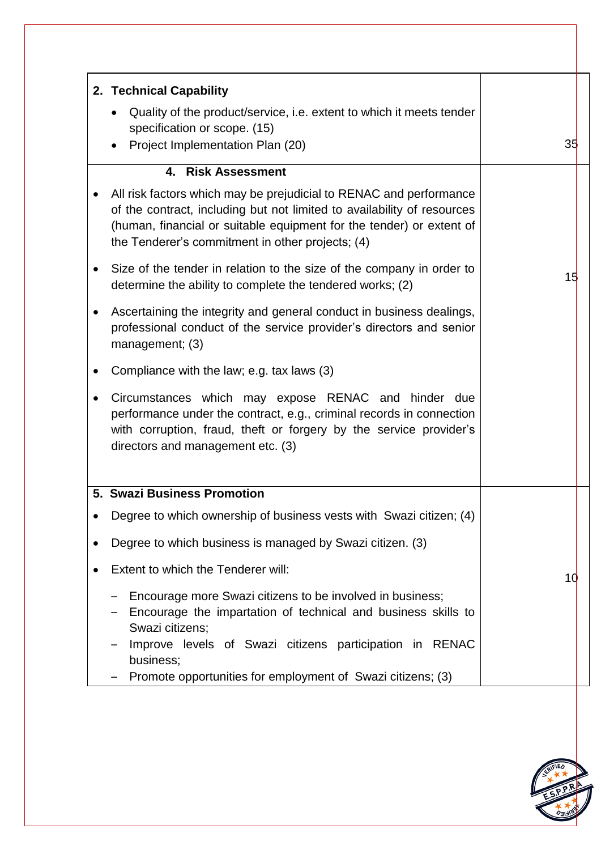|           | 2. Technical Capability                                                                                                                                                                                                                                                   |    |
|-----------|---------------------------------------------------------------------------------------------------------------------------------------------------------------------------------------------------------------------------------------------------------------------------|----|
|           | Quality of the product/service, i.e. extent to which it meets tender<br>specification or scope. (15)<br>Project Implementation Plan (20)                                                                                                                                  | 35 |
|           | 4. Risk Assessment                                                                                                                                                                                                                                                        |    |
|           | All risk factors which may be prejudicial to RENAC and performance<br>of the contract, including but not limited to availability of resources<br>(human, financial or suitable equipment for the tender) or extent of<br>the Tenderer's commitment in other projects; (4) |    |
|           | Size of the tender in relation to the size of the company in order to<br>determine the ability to complete the tendered works; (2)                                                                                                                                        | 15 |
| ٠         | Ascertaining the integrity and general conduct in business dealings,<br>professional conduct of the service provider's directors and senior<br>management; (3)                                                                                                            |    |
| ٠         | Compliance with the law; e.g. tax laws (3)                                                                                                                                                                                                                                |    |
|           | Circumstances which may expose RENAC and hinder due<br>performance under the contract, e.g., criminal records in connection<br>with corruption, fraud, theft or forgery by the service provider's<br>directors and management etc. (3)                                    |    |
|           | 5. Swazi Business Promotion                                                                                                                                                                                                                                               |    |
|           | Degree to which ownership of business vests with Swazi citizen; (4)                                                                                                                                                                                                       |    |
| ٠         | Degree to which business is managed by Swazi citizen. (3)                                                                                                                                                                                                                 |    |
| $\bullet$ | Extent to which the Tenderer will:                                                                                                                                                                                                                                        | 10 |
|           | Encourage more Swazi citizens to be involved in business;<br>Encourage the impartation of technical and business skills to<br>Swazi citizens;<br>Improve levels of Swazi citizens participation in RENAC<br>business;                                                     |    |
|           | Promote opportunities for employment of Swazi citizens; (3)                                                                                                                                                                                                               |    |

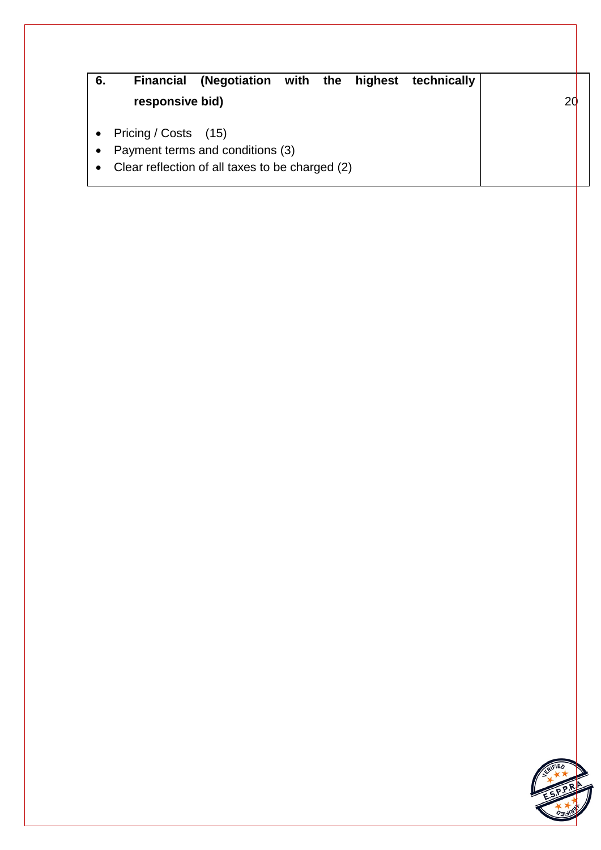| 6. | <b>Financial</b>     | (Negotiation with the highest technically                                           |  |  |    |
|----|----------------------|-------------------------------------------------------------------------------------|--|--|----|
|    | responsive bid)      |                                                                                     |  |  | 20 |
|    | Pricing / Costs (15) | Payment terms and conditions (3)<br>Clear reflection of all taxes to be charged (2) |  |  |    |

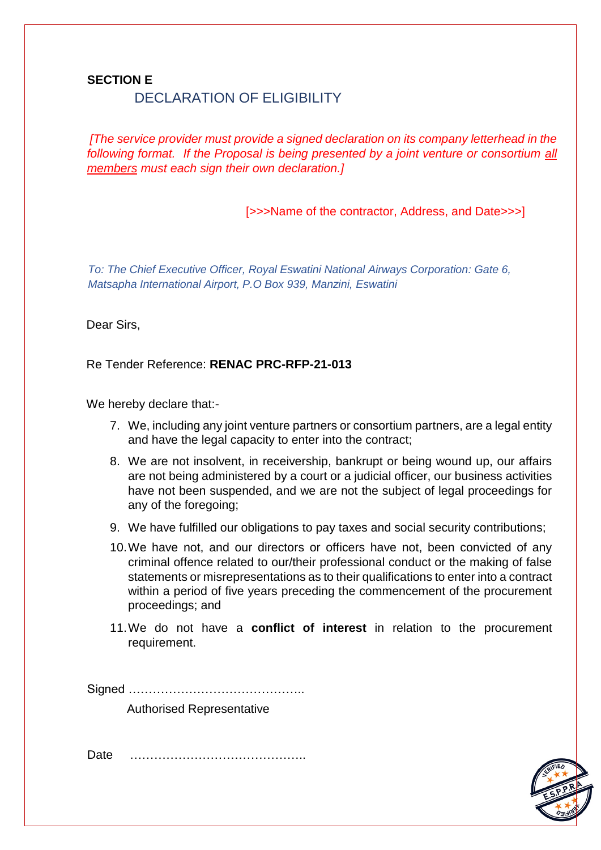# **SECTION E**

# DECLARATION OF ELIGIBILITY

*[The service provider must provide a signed declaration on its company letterhead in the*  following format. If the Proposal is being presented by a joint venture or consortium all *members must each sign their own declaration.]* 

[>>>Name of the contractor, Address, and Date>>>]

*To: The Chief Executive Officer, Royal Eswatini National Airways Corporation: Gate 6, Matsapha International Airport, P.O Box 939, Manzini, Eswatini* 

Dear Sirs,

Re Tender Reference: **RENAC PRC-RFP-21-013**

We hereby declare that:-

- 7. We, including any joint venture partners or consortium partners, are a legal entity and have the legal capacity to enter into the contract;
- 8. We are not insolvent, in receivership, bankrupt or being wound up, our affairs are not being administered by a court or a judicial officer, our business activities have not been suspended, and we are not the subject of legal proceedings for any of the foregoing;
- 9. We have fulfilled our obligations to pay taxes and social security contributions;
- 10.We have not, and our directors or officers have not, been convicted of any criminal offence related to our/their professional conduct or the making of false statements or misrepresentations as to their qualifications to enter into a contract within a period of five years preceding the commencement of the procurement proceedings; and
- 11.We do not have a **conflict of interest** in relation to the procurement requirement.

Signed ……………………………………..

Authorised Representative

Date……………………………………..

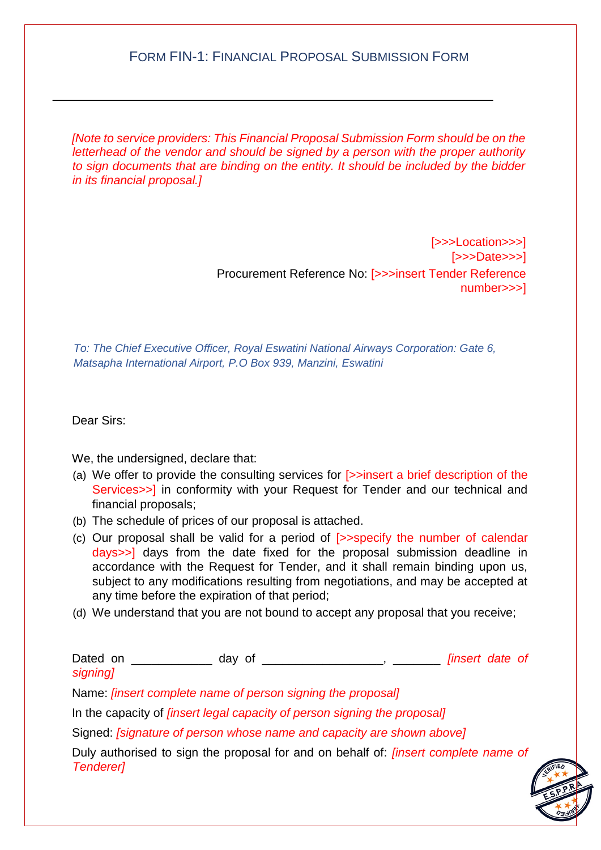## FORM FIN-1: FINANCIAL PROPOSAL SUBMISSION FORM

*[Note to service providers: This Financial Proposal Submission Form should be on the letterhead of the vendor and should be signed by a person with the proper authority to sign documents that are binding on the entity. It should be included by the bidder in its financial proposal.]* 

> [>>>Location>>>] [>>>Date>>>] Procurement Reference No: [>>>insert Tender Reference number>>>]

*To: The Chief Executive Officer, Royal Eswatini National Airways Corporation: Gate 6, Matsapha International Airport, P.O Box 939, Manzini, Eswatini* 

Dear Sirs:

We, the undersigned, declare that:

- (a) We offer to provide the consulting services for [>>insert a brief description of the Services>>] in conformity with your Request for Tender and our technical and financial proposals;
- (b) The schedule of prices of our proposal is attached.
- (c) Our proposal shall be valid for a period of [>>specify the number of calendar days>>] days from the date fixed for the proposal submission deadline in accordance with the Request for Tender, and it shall remain binding upon us, subject to any modifications resulting from negotiations, and may be accepted at any time before the expiration of that period;
- (d) We understand that you are not bound to accept any proposal that you receive;

Dated on \_\_\_\_\_\_\_\_\_\_\_\_\_\_ day of \_\_\_\_\_\_\_\_\_\_\_\_\_\_\_\_\_\_\_\_, \_\_\_\_\_\_\_\_\_ *[insert date of signing]* 

Name: *[insert complete name of person signing the proposal]*

In the capacity of *[insert legal capacity of person signing the proposal]* 

Signed: *[signature of person whose name and capacity are shown above]*

Duly authorised to sign the proposal for and on behalf of: *[insert complete name of Tenderer]*